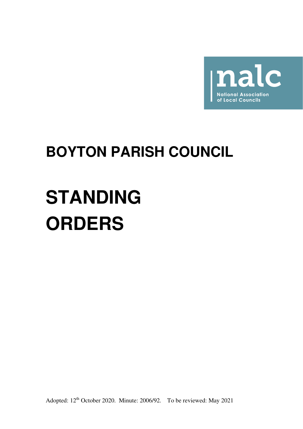

## **BOYTON PARISH COUNCIL**

# **STANDING ORDERS**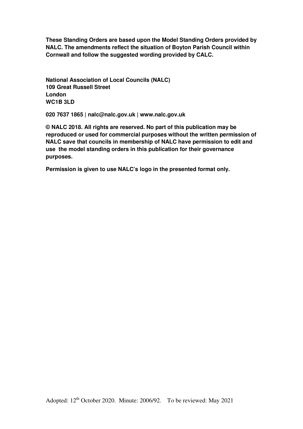**These Standing Orders are based upon the Model Standing Orders provided by NALC. The amendments reflect the situation of Boyton Parish Council within Cornwall and follow the suggested wording provided by CALC.** 

**National Association of Local Councils (NALC) 109 Great Russell Street London WC1B 3LD** 

**020 7637 1865 | nalc@nalc.gov.uk | www.nalc.gov.uk** 

**© NALC 2018. All rights are reserved. No part of this publication may be reproduced or used for commercial purposes without the written permission of NALC save that councils in membership of NALC have permission to edit and use the model standing orders in this publication for their governance purposes.** 

**Permission is given to use NALC's logo in the presented format only.**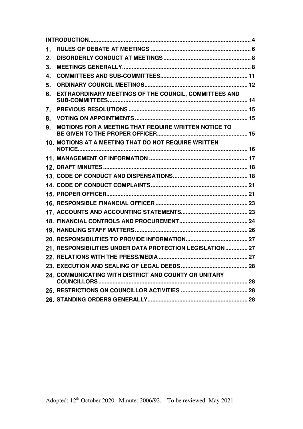| 1. |                                                           |  |
|----|-----------------------------------------------------------|--|
| 2. |                                                           |  |
| 3. |                                                           |  |
| 4. |                                                           |  |
| 5. |                                                           |  |
| 6. | EXTRAORDINARY MEETINGS OF THE COUNCIL, COMMITTEES AND     |  |
| 7. |                                                           |  |
| 8. |                                                           |  |
| 9. | MOTIONS FOR A MEETING THAT REQUIRE WRITTEN NOTICE TO      |  |
|    | 10. MOTIONS AT A MEETING THAT DO NOT REQUIRE WRITTEN      |  |
|    |                                                           |  |
|    |                                                           |  |
|    |                                                           |  |
|    |                                                           |  |
|    |                                                           |  |
|    |                                                           |  |
|    |                                                           |  |
|    |                                                           |  |
|    |                                                           |  |
|    |                                                           |  |
|    | 21. RESPONSIBILITIES UNDER DATA PROTECTION LEGISLATION 27 |  |
|    |                                                           |  |
|    |                                                           |  |
|    | 24. COMMUNICATING WITH DISTRICT AND COUNTY OR UNITARY     |  |
|    |                                                           |  |
|    |                                                           |  |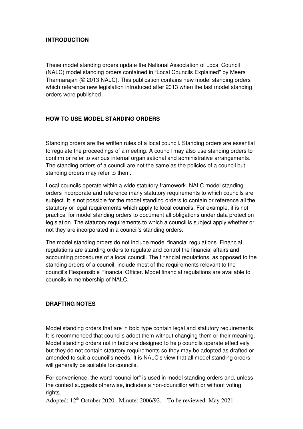## **INTRODUCTION**

These model standing orders update the National Association of Local Council (NALC) model standing orders contained in "Local Councils Explained" by Meera Tharmarajah (© 2013 NALC). This publication contains new model standing orders which reference new legislation introduced after 2013 when the last model standing orders were published.

## **HOW TO USE MODEL STANDING ORDERS**

Standing orders are the written rules of a local council. Standing orders are essential to regulate the proceedings of a meeting. A council may also use standing orders to confirm or refer to various internal organisational and administrative arrangements. The standing orders of a council are not the same as the policies of a council but standing orders may refer to them.

Local councils operate within a wide statutory framework. NALC model standing orders incorporate and reference many statutory requirements to which councils are subject. It is not possible for the model standing orders to contain or reference all the statutory or legal requirements which apply to local councils. For example, it is not practical for model standing orders to document all obligations under data protection legislation. The statutory requirements to which a council is subject apply whether or not they are incorporated in a council's standing orders.

The model standing orders do not include model financial regulations. Financial regulations are standing orders to regulate and control the financial affairs and accounting procedures of a local council. The financial regulations, as opposed to the standing orders of a council, include most of the requirements relevant to the council's Responsible Financial Officer. Model financial regulations are available to councils in membership of NALC.

## **DRAFTING NOTES**

Model standing orders that are in bold type contain legal and statutory requirements. It is recommended that councils adopt them without changing them or their meaning. Model standing orders not in bold are designed to help councils operate effectively but they do not contain statutory requirements so they may be adopted as drafted or amended to suit a council's needs. It is NALC's view that all model standing orders will generally be suitable for councils.

For convenience, the word "councillor" is used in model standing orders and, unless the context suggests otherwise, includes a non-councillor with or without voting rights.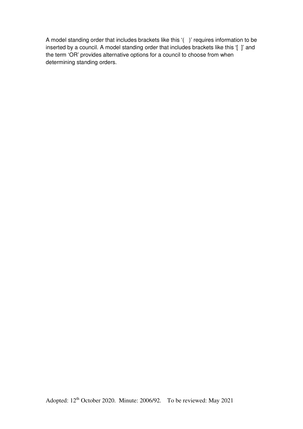A model standing order that includes brackets like this '( )' requires information to be inserted by a council. A model standing order that includes brackets like this '[ ]' and the term 'OR' provides alternative options for a council to choose from when determining standing orders.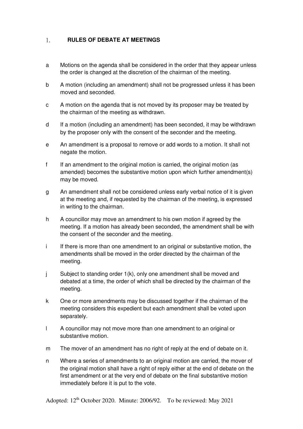#### $1.$ **RULES OF DEBATE AT MEETINGS**

- a Motions on the agenda shall be considered in the order that they appear unless the order is changed at the discretion of the chairman of the meeting.
- b A motion (including an amendment) shall not be progressed unless it has been moved and seconded.
- c A motion on the agenda that is not moved by its proposer may be treated by the chairman of the meeting as withdrawn.
- d If a motion (including an amendment) has been seconded, it may be withdrawn by the proposer only with the consent of the seconder and the meeting.
- e An amendment is a proposal to remove or add words to a motion. It shall not negate the motion.
- f If an amendment to the original motion is carried, the original motion (as amended) becomes the substantive motion upon which further amendment(s) may be moved.
- g An amendment shall not be considered unless early verbal notice of it is given at the meeting and, if requested by the chairman of the meeting, is expressed in writing to the chairman.
- h A councillor may move an amendment to his own motion if agreed by the meeting. If a motion has already been seconded, the amendment shall be with the consent of the seconder and the meeting.
- i If there is more than one amendment to an original or substantive motion, the amendments shall be moved in the order directed by the chairman of the meeting.
- j Subject to standing order 1(k), only one amendment shall be moved and debated at a time, the order of which shall be directed by the chairman of the meeting.
- k One or more amendments may be discussed together if the chairman of the meeting considers this expedient but each amendment shall be voted upon separately.
- l A councillor may not move more than one amendment to an original or substantive motion.
- m The mover of an amendment has no right of reply at the end of debate on it.
- n Where a series of amendments to an original motion are carried, the mover of the original motion shall have a right of reply either at the end of debate on the first amendment or at the very end of debate on the final substantive motion immediately before it is put to the vote.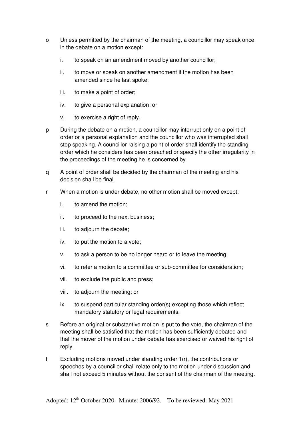- o Unless permitted by the chairman of the meeting, a councillor may speak once in the debate on a motion except:
	- i. to speak on an amendment moved by another councillor;
	- ii. to move or speak on another amendment if the motion has been amended since he last spoke;
	- iii. to make a point of order;
	- iv. to give a personal explanation; or
	- v. to exercise a right of reply.
- p During the debate on a motion, a councillor may interrupt only on a point of order or a personal explanation and the councillor who was interrupted shall stop speaking. A councillor raising a point of order shall identify the standing order which he considers has been breached or specify the other irregularity in the proceedings of the meeting he is concerned by.
- q A point of order shall be decided by the chairman of the meeting and his decision shall be final.
- r When a motion is under debate, no other motion shall be moved except:
	- i. to amend the motion;
	- ii. to proceed to the next business;
	- iii. to adjourn the debate;
	- iv. to put the motion to a vote;
	- v. to ask a person to be no longer heard or to leave the meeting;
	- vi. to refer a motion to a committee or sub-committee for consideration;
	- vii. to exclude the public and press;
	- viii. to adjourn the meeting; or
	- ix. to suspend particular standing order(s) excepting those which reflect mandatory statutory or legal requirements.
- s Before an original or substantive motion is put to the vote, the chairman of the meeting shall be satisfied that the motion has been sufficiently debated and that the mover of the motion under debate has exercised or waived his right of reply.
- t Excluding motions moved under standing order 1(r), the contributions or speeches by a councillor shall relate only to the motion under discussion and shall not exceed 5 minutes without the consent of the chairman of the meeting.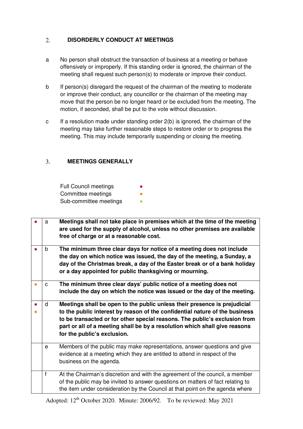#### $2.$ **DISORDERLY CONDUCT AT MEETINGS**

- a No person shall obstruct the transaction of business at a meeting or behave offensively or improperly. If this standing order is ignored, the chairman of the meeting shall request such person(s) to moderate or improve their conduct.
- b If person(s) disregard the request of the chairman of the meeting to moderate or improve their conduct, any councillor or the chairman of the meeting may move that the person be no longer heard or be excluded from the meeting. The motion, if seconded, shall be put to the vote without discussion.
- c If a resolution made under standing order 2(b) is ignored, the chairman of the meeting may take further reasonable steps to restore order or to progress the meeting. This may include temporarily suspending or closing the meeting.

#### $\overline{3}$ . **MEETINGS GENERALLY**

| <b>Full Council meetings</b> | ● |
|------------------------------|---|
| Committee meetings           |   |
| Sub-committee meetings       |   |

| a | Meetings shall not take place in premises which at the time of the meeting<br>are used for the supply of alcohol, unless no other premises are available<br>free of charge or at a reasonable cost.                                                                                                                                                 |
|---|-----------------------------------------------------------------------------------------------------------------------------------------------------------------------------------------------------------------------------------------------------------------------------------------------------------------------------------------------------|
| b | The minimum three clear days for notice of a meeting does not include<br>the day on which notice was issued, the day of the meeting, a Sunday, a<br>day of the Christmas break, a day of the Easter break or of a bank holiday<br>or a day appointed for public thanksgiving or mourning.                                                           |
| C | The minimum three clear days' public notice of a meeting does not<br>include the day on which the notice was issued or the day of the meeting.                                                                                                                                                                                                      |
| d | Meetings shall be open to the public unless their presence is prejudicial<br>to the public interest by reason of the confidential nature of the business<br>to be transacted or for other special reasons. The public's exclusion from<br>part or all of a meeting shall be by a resolution which shall give reasons<br>for the public's exclusion. |
| e | Members of the public may make representations, answer questions and give<br>evidence at a meeting which they are entitled to attend in respect of the<br>business on the agenda.                                                                                                                                                                   |
| f | At the Chairman's discretion and with the agreement of the council, a member<br>of the public may be invited to answer questions on matters of fact relating to<br>the item under consideration by the Council at that point on the agenda where                                                                                                    |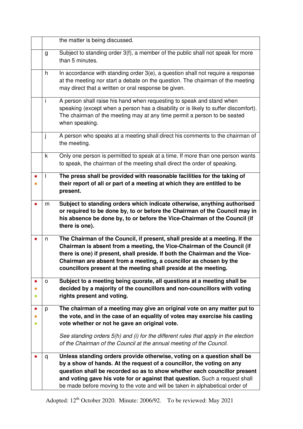|              | the matter is being discussed.                                                                                                                                                                                                                                                                                                                                                              |  |  |  |
|--------------|---------------------------------------------------------------------------------------------------------------------------------------------------------------------------------------------------------------------------------------------------------------------------------------------------------------------------------------------------------------------------------------------|--|--|--|
| g            | Subject to standing order 3(f), a member of the public shall not speak for more<br>than 5 minutes.                                                                                                                                                                                                                                                                                          |  |  |  |
| h            | In accordance with standing order 3(e), a question shall not require a response<br>at the meeting nor start a debate on the question. The chairman of the meeting<br>may direct that a written or oral response be given.                                                                                                                                                                   |  |  |  |
| i.           | A person shall raise his hand when requesting to speak and stand when<br>speaking (except when a person has a disability or is likely to suffer discomfort).<br>The chairman of the meeting may at any time permit a person to be seated<br>when speaking.                                                                                                                                  |  |  |  |
| j            | A person who speaks at a meeting shall direct his comments to the chairman of<br>the meeting.                                                                                                                                                                                                                                                                                               |  |  |  |
| k            | Only one person is permitted to speak at a time. If more than one person wants<br>to speak, the chairman of the meeting shall direct the order of speaking.                                                                                                                                                                                                                                 |  |  |  |
| $\mathbf{I}$ | The press shall be provided with reasonable facilities for the taking of<br>their report of all or part of a meeting at which they are entitled to be<br>present.                                                                                                                                                                                                                           |  |  |  |
| m            | Subject to standing orders which indicate otherwise, anything authorised<br>or required to be done by, to or before the Chairman of the Council may in<br>his absence be done by, to or before the Vice-Chairman of the Council (if<br>there is one).                                                                                                                                       |  |  |  |
| n            | The Chairman of the Council, if present, shall preside at a meeting. If the<br>Chairman is absent from a meeting, the Vice-Chairman of the Council (if<br>there is one) if present, shall preside. If both the Chairman and the Vice-<br>Chairman are absent from a meeting, a councillor as chosen by the<br>councillors present at the meeting shall preside at the meeting.              |  |  |  |
| O            | Subject to a meeting being quorate, all questions at a meeting shall be<br>decided by a majority of the councillors and non-councillors with voting<br>rights present and voting.                                                                                                                                                                                                           |  |  |  |
| p            | The chairman of a meeting may give an original vote on any matter put to<br>the vote, and in the case of an equality of votes may exercise his casting<br>vote whether or not he gave an original vote.                                                                                                                                                                                     |  |  |  |
|              | See standing orders 5(h) and (i) for the different rules that apply in the election<br>of the Chairman of the Council at the annual meeting of the Council.                                                                                                                                                                                                                                 |  |  |  |
| q            | Unless standing orders provide otherwise, voting on a question shall be<br>by a show of hands. At the request of a councillor, the voting on any<br>question shall be recorded so as to show whether each councillor present<br>and voting gave his vote for or against that question. Such a request shall<br>be made before moving to the vote and will be taken in alphabetical order of |  |  |  |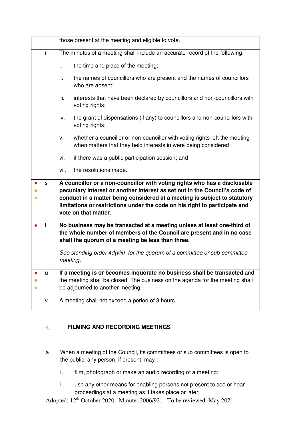|   | those present at the meeting and eligible to vote.                                                                                                                                                                                                                                                                                         |  |  |  |  |  |
|---|--------------------------------------------------------------------------------------------------------------------------------------------------------------------------------------------------------------------------------------------------------------------------------------------------------------------------------------------|--|--|--|--|--|
| r | The minutes of a meeting shall include an accurate record of the following:                                                                                                                                                                                                                                                                |  |  |  |  |  |
|   | i.<br>the time and place of the meeting;                                                                                                                                                                                                                                                                                                   |  |  |  |  |  |
|   | ii.<br>the names of councillors who are present and the names of councillors<br>who are absent:                                                                                                                                                                                                                                            |  |  |  |  |  |
|   | interests that have been declared by councillors and non-councillors with<br>iii.<br>voting rights;                                                                                                                                                                                                                                        |  |  |  |  |  |
|   | the grant of dispensations (if any) to councillors and non-councillors with<br>iv.<br>voting rights;                                                                                                                                                                                                                                       |  |  |  |  |  |
|   | whether a councillor or non-councillor with voting rights left the meeting<br>v.<br>when matters that they held interests in were being considered;                                                                                                                                                                                        |  |  |  |  |  |
|   | vi.<br>if there was a public participation session; and                                                                                                                                                                                                                                                                                    |  |  |  |  |  |
|   | the resolutions made.<br>vii.                                                                                                                                                                                                                                                                                                              |  |  |  |  |  |
| s | A councillor or a non-councillor with voting rights who has a disclosable<br>pecuniary interest or another interest as set out in the Council's code of<br>conduct in a matter being considered at a meeting is subject to statutory<br>limitations or restrictions under the code on his right to participate and<br>vote on that matter. |  |  |  |  |  |
| t | No business may be transacted at a meeting unless at least one-third of<br>the whole number of members of the Council are present and in no case<br>shall the quorum of a meeting be less than three.                                                                                                                                      |  |  |  |  |  |
|   | See standing order 4d(viii) for the quorum of a committee or sub-committee<br>meeting.                                                                                                                                                                                                                                                     |  |  |  |  |  |
| u | If a meeting is or becomes inquorate no business shall be transacted and<br>the meeting shall be closed. The business on the agenda for the meeting shall<br>be adjourned to another meeting.                                                                                                                                              |  |  |  |  |  |
| v | A meeting shall not exceed a period of 3 hours.                                                                                                                                                                                                                                                                                            |  |  |  |  |  |

#### $\overline{4}$ . **FILMING AND RECORDING MEETINGS**

- a When a meeting of the Council, its committees or sub committees is open to the public, any person, if present, may :
	- i. film, photograph or make an audio recording of a meeting;
	- ii. use any other means for enabling persons not present to see or hear proceedings at a meeting as it takes place or later;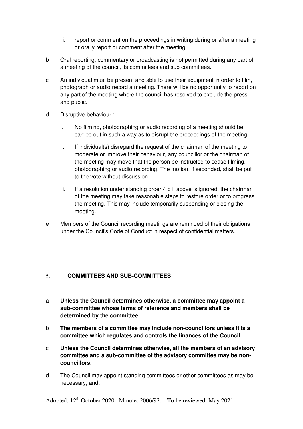- iii. report or comment on the proceedings in writing during or after a meeting or orally report or comment after the meeting.
- b Oral reporting, commentary or broadcasting is not permitted during any part of a meeting of the council, its committees and sub committees.
- c An individual must be present and able to use their equipment in order to film, photograph or audio record a meeting. There will be no opportunity to report on any part of the meeting where the council has resolved to exclude the press and public.
- d Disruptive behaviour :
	- i. No filming, photographing or audio recording of a meeting should be carried out in such a way as to disrupt the proceedings of the meeting.
	- ii. If individual(s) disregard the request of the chairman of the meeting to moderate or improve their behaviour, any councillor or the chairman of the meeting may move that the person be instructed to cease filming, photographing or audio recording. The motion, if seconded, shall be put to the vote without discussion.
	- iii. If a resolution under standing order 4 d ii above is ignored, the chairman of the meeting may take reasonable steps to restore order or to progress the meeting. This may include temporarily suspending or closing the meeting.
- e Members of the Council recording meetings are reminded of their obligations under the Council's Code of Conduct in respect of confidential matters.

#### $5<sub>1</sub>$ **COMMITTEES AND SUB-COMMITTEES**

- a **Unless the Council determines otherwise, a committee may appoint a sub-committee whose terms of reference and members shall be determined by the committee.**
- b **The members of a committee may include non-councillors unless it is a committee which regulates and controls the finances of the Council.**
- c **Unless the Council determines otherwise, all the members of an advisory committee and a sub-committee of the advisory committee may be noncouncillors.**
- d The Council may appoint standing committees or other committees as may be necessary, and: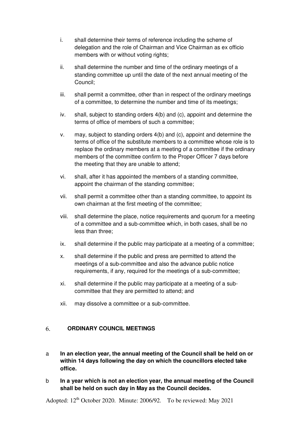- i. shall determine their terms of reference including the scheme of delegation and the role of Chairman and Vice Chairman as ex officio members with or without voting rights;
- ii. shall determine the number and time of the ordinary meetings of a standing committee up until the date of the next annual meeting of the Council;
- iii. shall permit a committee, other than in respect of the ordinary meetings of a committee, to determine the number and time of its meetings;
- iv. shall, subject to standing orders 4(b) and (c), appoint and determine the terms of office of members of such a committee;
- v. may, subject to standing orders 4(b) and (c), appoint and determine the terms of office of the substitute members to a committee whose role is to replace the ordinary members at a meeting of a committee if the ordinary members of the committee confirm to the Proper Officer 7 days before the meeting that they are unable to attend;
- vi. shall, after it has appointed the members of a standing committee, appoint the chairman of the standing committee;
- vii. shall permit a committee other than a standing committee, to appoint its own chairman at the first meeting of the committee;
- viii. shall determine the place, notice requirements and quorum for a meeting of a committee and a sub-committee which, in both cases, shall be no less than three;
- ix. shall determine if the public may participate at a meeting of a committee;
- x. shall determine if the public and press are permitted to attend the meetings of a sub-committee and also the advance public notice requirements, if any, required for the meetings of a sub-committee;
- xi. shall determine if the public may participate at a meeting of a subcommittee that they are permitted to attend; and
- xii. may dissolve a committee or a sub-committee.

#### **ORDINARY COUNCIL MEETINGS**  6.

- a **In an election year, the annual meeting of the Council shall be held on or within 14 days following the day on which the councillors elected take office.**
- b **In a year which is not an election year, the annual meeting of the Council shall be held on such day in May as the Council decides.**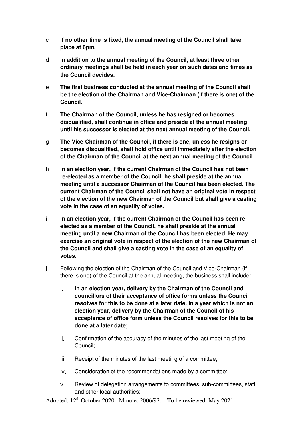- c **If no other time is fixed, the annual meeting of the Council shall take place at 6pm.**
- d **In addition to the annual meeting of the Council, at least three other ordinary meetings shall be held in each year on such dates and times as the Council decides.**
- e **The first business conducted at the annual meeting of the Council shall be the election of the Chairman and Vice-Chairman (if there is one) of the Council.**
- f **The Chairman of the Council, unless he has resigned or becomes disqualified, shall continue in office and preside at the annual meeting until his successor is elected at the next annual meeting of the Council.**
- g **The Vice-Chairman of the Council, if there is one, unless he resigns or becomes disqualified, shall hold office until immediately after the election of the Chairman of the Council at the next annual meeting of the Council.**
- h **In an election year, if the current Chairman of the Council has not been re-elected as a member of the Council, he shall preside at the annual meeting until a successor Chairman of the Council has been elected. The current Chairman of the Council shall not have an original vote in respect of the election of the new Chairman of the Council but shall give a casting vote in the case of an equality of votes.**
- i **In an election year, if the current Chairman of the Council has been reelected as a member of the Council, he shall preside at the annual meeting until a new Chairman of the Council has been elected. He may exercise an original vote in respect of the election of the new Chairman of the Council and shall give a casting vote in the case of an equality of votes.**
- j Following the election of the Chairman of the Council and Vice-Chairman (if there is one) of the Council at the annual meeting, the business shall include:
	- i. **In an election year, delivery by the Chairman of the Council and councillors of their acceptance of office forms unless the Council resolves for this to be done at a later date. In a year which is not an election year, delivery by the Chairman of the Council of his acceptance of office form unless the Council resolves for this to be done at a later date;**
	- ii. Confirmation of the accuracy of the minutes of the last meeting of the Council;
	- iii. Receipt of the minutes of the last meeting of a committee;
	- iv. Consideration of the recommendations made by a committee;
	- v. Review of delegation arrangements to committees, sub-committees, staff and other local authorities;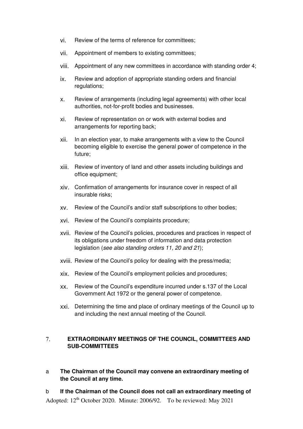- vi. Review of the terms of reference for committees;
- vii. Appointment of members to existing committees;
- viii. Appointment of any new committees in accordance with standing order 4;
- ix. Review and adoption of appropriate standing orders and financial regulations;
- x. Review of arrangements (including legal agreements) with other local authorities, not-for-profit bodies and businesses.
- xi. Review of representation on or work with external bodies and arrangements for reporting back;
- xii. In an election year, to make arrangements with a view to the Council becoming eligible to exercise the general power of competence in the future;
- xiii. Review of inventory of land and other assets including buildings and office equipment;
- xiv. Confirmation of arrangements for insurance cover in respect of all insurable risks;
- xv. Review of the Council's and/or staff subscriptions to other bodies;
- xvi. Review of the Council's complaints procedure;
- xvii. Review of the Council's policies, procedures and practices in respect of its obligations under freedom of information and data protection legislation (see also standing orders 11, 20 and 21);
- xviii. Review of the Council's policy for dealing with the press/media;
- xix. Review of the Council's employment policies and procedures;
- xx. Review of the Council's expenditure incurred under s.137 of the Local Government Act 1972 or the general power of competence.
- xxi. Determining the time and place of ordinary meetings of the Council up to and including the next annual meeting of the Council.

#### $7<sup>1</sup>$ **EXTRAORDINARY MEETINGS OF THE COUNCIL, COMMITTEES AND SUB-COMMITTEES**

a **The Chairman of the Council may convene an extraordinary meeting of the Council at any time.** 

Adopted:  $12<sup>th</sup>$  October 2020. Minute: 2006/92. To be reviewed: May 2021 b **If the Chairman of the Council does not call an extraordinary meeting of**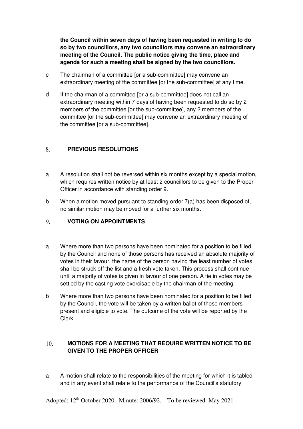**the Council within seven days of having been requested in writing to do so by two councillors, any two councillors may convene an extraordinary meeting of the Council. The public notice giving the time, place and agenda for such a meeting shall be signed by the two councillors.** 

- c The chairman of a committee [or a sub-committee] may convene an extraordinary meeting of the committee [or the sub-committee] at any time.
- d If the chairman of a committee [or a sub-committee] does not call an extraordinary meeting within 7 days of having been requested to do so by 2 members of the committee [or the sub-committee], any 2 members of the committee [or the sub-committee] may convene an extraordinary meeting of the committee [or a sub-committee].

#### 8. **PREVIOUS RESOLUTIONS**

- a A resolution shall not be reversed within six months except by a special motion, which requires written notice by at least 2 councillors to be given to the Proper Officer in accordance with standing order 9.
- b When a motion moved pursuant to standing order 7(a) has been disposed of, no similar motion may be moved for a further six months.

#### 9. **VOTING ON APPOINTMENTS**

- a Where more than two persons have been nominated for a position to be filled by the Council and none of those persons has received an absolute majority of votes in their favour, the name of the person having the least number of votes shall be struck off the list and a fresh vote taken. This process shall continue until a majority of votes is given in favour of one person. A tie in votes may be settled by the casting vote exercisable by the chairman of the meeting.
- b Where more than two persons have been nominated for a position to be filled by the Council, the vote will be taken by a written ballot of those members present and eligible to vote. The outcome of the vote will be reported by the Clerk.

#### $10.$ **MOTIONS FOR A MEETING THAT REQUIRE WRITTEN NOTICE TO BE GIVEN TO THE PROPER OFFICER**

a A motion shall relate to the responsibilities of the meeting for which it is tabled and in any event shall relate to the performance of the Council's statutory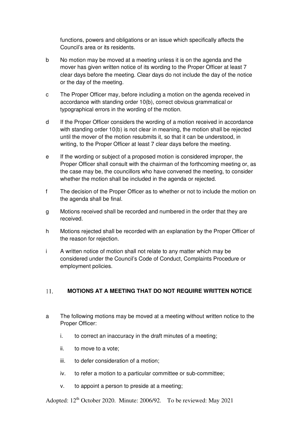functions, powers and obligations or an issue which specifically affects the Council's area or its residents.

- b No motion may be moved at a meeting unless it is on the agenda and the mover has given written notice of its wording to the Proper Officer at least 7 clear days before the meeting. Clear days do not include the day of the notice or the day of the meeting.
- c The Proper Officer may, before including a motion on the agenda received in accordance with standing order 10(b), correct obvious grammatical or typographical errors in the wording of the motion.
- d If the Proper Officer considers the wording of a motion received in accordance with standing order 10(b) is not clear in meaning, the motion shall be rejected until the mover of the motion resubmits it, so that it can be understood, in writing, to the Proper Officer at least 7 clear days before the meeting.
- e If the wording or subject of a proposed motion is considered improper, the Proper Officer shall consult with the chairman of the forthcoming meeting or, as the case may be, the councillors who have convened the meeting, to consider whether the motion shall be included in the agenda or rejected.
- f The decision of the Proper Officer as to whether or not to include the motion on the agenda shall be final.
- g Motions received shall be recorded and numbered in the order that they are received.
- h Motions rejected shall be recorded with an explanation by the Proper Officer of the reason for rejection.
- i A written notice of motion shall not relate to any matter which may be considered under the Council's Code of Conduct, Complaints Procedure or employment policies.

#### 11. **MOTIONS AT A MEETING THAT DO NOT REQUIRE WRITTEN NOTICE**

- a The following motions may be moved at a meeting without written notice to the Proper Officer:
	- i. to correct an inaccuracy in the draft minutes of a meeting;
	- ii. to move to a vote;
	- iii. to defer consideration of a motion;
	- iv. to refer a motion to a particular committee or sub-committee;
	- v. to appoint a person to preside at a meeting;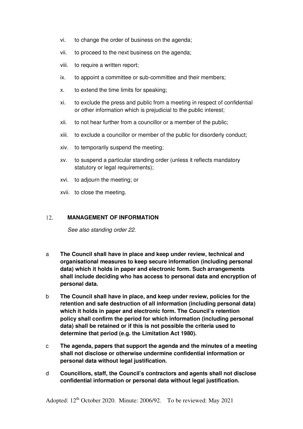- vi. to change the order of business on the agenda;
- vii. to proceed to the next business on the agenda;
- viii. to require a written report:
- ix. to appoint a committee or sub-committee and their members;
- x. to extend the time limits for speaking;
- xi. to exclude the press and public from a meeting in respect of confidential or other information which is prejudicial to the public interest;
- xii. to not hear further from a councillor or a member of the public;
- xiii. to exclude a councillor or member of the public for disorderly conduct;
- xiv. to temporarily suspend the meeting;
- xv. to suspend a particular standing order (unless it reflects mandatory statutory or legal requirements);
- xvi. to adjourn the meeting; or
- xvii. to close the meeting.

#### $12.$ **MANAGEMENT OF INFORMATION**

See also standing order 22.

- a **The Council shall have in place and keep under review, technical and organisational measures to keep secure information (including personal data) which it holds in paper and electronic form. Such arrangements shall include deciding who has access to personal data and encryption of personal data.**
- b **The Council shall have in place, and keep under review, policies for the retention and safe destruction of all information (including personal data) which it holds in paper and electronic form. The Council's retention policy shall confirm the period for which information (including personal data) shall be retained or if this is not possible the criteria used to determine that period (e.g. the Limitation Act 1980).**
- c **The agenda, papers that support the agenda and the minutes of a meeting shall not disclose or otherwise undermine confidential information or personal data without legal justification.**
- d **Councillors, staff, the Council's contractors and agents shall not disclose confidential information or personal data without legal justification.**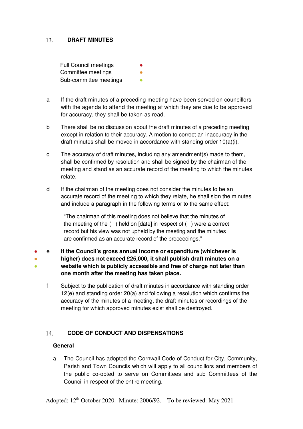#### 13. **DRAFT MINUTES**

**Full Council meetings** Committee meetings Sub-committee meetings

- a If the draft minutes of a preceding meeting have been served on councillors with the agenda to attend the meeting at which they are due to be approved for accuracy, they shall be taken as read.
- b There shall be no discussion about the draft minutes of a preceding meeting except in relation to their accuracy. A motion to correct an inaccuracy in the draft minutes shall be moved in accordance with standing order 10(a)(i).
- c The accuracy of draft minutes, including any amendment(s) made to them, shall be confirmed by resolution and shall be signed by the chairman of the meeting and stand as an accurate record of the meeting to which the minutes relate.
- d If the chairman of the meeting does not consider the minutes to be an accurate record of the meeting to which they relate, he shall sign the minutes and include a paragraph in the following terms or to the same effect:

"The chairman of this meeting does not believe that the minutes of the meeting of the ( ) held on [date] in respect of ( ) were a correct record but his view was not upheld by the meeting and the minutes are confirmed as an accurate record of the proceedings."

● ● ● e **If the Council's gross annual income or expenditure (whichever is higher) does not exceed £25,000, it shall publish draft minutes on a website which is publicly accessible and free of charge not later than one month after the meeting has taken place.**

f Subject to the publication of draft minutes in accordance with standing order 12(e) and standing order 20(a) and following a resolution which confirms the accuracy of the minutes of a meeting, the draft minutes or recordings of the meeting for which approved minutes exist shall be destroyed.

#### $14<sub>1</sub>$ **CODE OF CONDUCT AND DISPENSATIONS**

## **General**

a The Council has adopted the Cornwall Code of Conduct for City, Community, Parish and Town Councils which will apply to all councillors and members of the public co-opted to serve on Committees and sub Committees of the Council in respect of the entire meeting.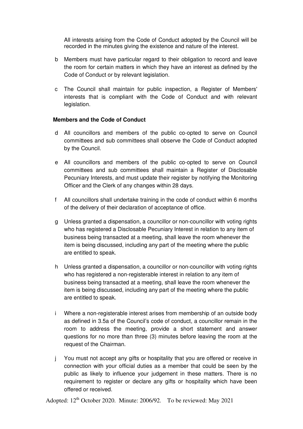All interests arising from the Code of Conduct adopted by the Council will be recorded in the minutes giving the existence and nature of the interest.

- b Members must have particular regard to their obligation to record and leave the room for certain matters in which they have an interest as defined by the Code of Conduct or by relevant legislation.
- c The Council shall maintain for public inspection, a Register of Members' interests that is compliant with the Code of Conduct and with relevant legislation.

### **Members and the Code of Conduct**

- d All councillors and members of the public co-opted to serve on Council committees and sub committees shall observe the Code of Conduct adopted by the Council.
- e All councillors and members of the public co-opted to serve on Council committees and sub committees shall maintain a Register of Disclosable Pecuniary Interests, and must update their register by notifying the Monitoring Officer and the Clerk of any changes within 28 days.
- f All councillors shall undertake training in the code of conduct within 6 months of the delivery of their declaration of acceptance of office.
- g Unless granted a dispensation, a councillor or non-councillor with voting rights who has registered a Disclosable Pecuniary Interest in relation to any item of business being transacted at a meeting, shall leave the room whenever the item is being discussed, including any part of the meeting where the public are entitled to speak.
- h Unless granted a dispensation, a councillor or non-councillor with voting rights who has registered a non-registerable interest in relation to any item of business being transacted at a meeting, shall leave the room whenever the item is being discussed, including any part of the meeting where the public are entitled to speak.
- i Where a non-registerable interest arises from membership of an outside body as defined in 3.5a of the Council's code of conduct, a councillor remain in the room to address the meeting, provide a short statement and answer questions for no more than three (3) minutes before leaving the room at the request of the Chairman.
- j You must not accept any gifts or hospitality that you are offered or receive in connection with your official duties as a member that could be seen by the public as likely to influence your judgement in these matters. There is no requirement to register or declare any gifts or hospitality which have been offered or received.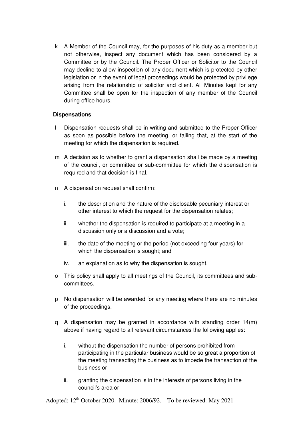k A Member of the Council may, for the purposes of his duty as a member but not otherwise, inspect any document which has been considered by a Committee or by the Council. The Proper Officer or Solicitor to the Council may decline to allow inspection of any document which is protected by other legislation or in the event of legal proceedings would be protected by privilege arising from the relationship of solicitor and client. All Minutes kept for any Committee shall be open for the inspection of any member of the Council during office hours.

## **Dispensations**

- l Dispensation requests shall be in writing and submitted to the Proper Officer as soon as possible before the meeting, or failing that, at the start of the meeting for which the dispensation is required.
- m A decision as to whether to grant a dispensation shall be made by a meeting of the council, or committee or sub-committee for which the dispensation is required and that decision is final.
- n A dispensation request shall confirm:
	- i. the description and the nature of the disclosable pecuniary interest or other interest to which the request for the dispensation relates;
	- ii. whether the dispensation is required to participate at a meeting in a discussion only or a discussion and a vote;
	- iii. the date of the meeting or the period (not exceeding four years) for which the dispensation is sought; and
	- iv. an explanation as to why the dispensation is sought.
- o This policy shall apply to all meetings of the Council, its committees and subcommittees.
- p No dispensation will be awarded for any meeting where there are no minutes of the proceedings.
- q A dispensation may be granted in accordance with standing order 14(m) above if having regard to all relevant circumstances the following applies:
	- i. without the dispensation the number of persons prohibited from participating in the particular business would be so great a proportion of the meeting transacting the business as to impede the transaction of the business or
	- ii. granting the dispensation is in the interests of persons living in the council's area or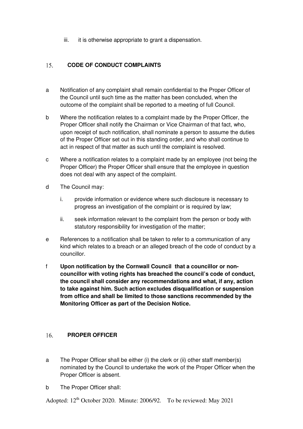iii. it is otherwise appropriate to grant a dispensation.

#### $15<sub>1</sub>$ **CODE OF CONDUCT COMPLAINTS**

- a Notification of any complaint shall remain confidential to the Proper Officer of the Council until such time as the matter has been concluded, when the outcome of the complaint shall be reported to a meeting of full Council.
- b Where the notification relates to a complaint made by the Proper Officer, the Proper Officer shall notify the Chairman or Vice Chairman of that fact, who, upon receipt of such notification, shall nominate a person to assume the duties of the Proper Officer set out in this standing order, and who shall continue to act in respect of that matter as such until the complaint is resolved.
- c Where a notification relates to a complaint made by an employee (not being the Proper Officer) the Proper Officer shall ensure that the employee in question does not deal with any aspect of the complaint.
- d The Council may:
	- i. provide information or evidence where such disclosure is necessary to progress an investigation of the complaint or is required by law;
	- ii. seek information relevant to the complaint from the person or body with statutory responsibility for investigation of the matter;
- e References to a notification shall be taken to refer to a communication of any kind which relates to a breach or an alleged breach of the code of conduct by a councillor.
- f **Upon notification by the Cornwall Council that a councillor or noncouncillor with voting rights has breached the council's code of conduct, the council shall consider any recommendations and what, if any, action to take against him. Such action excludes disqualification or suspension from office and shall be limited to those sanctions recommended by the Monitoring Officer as part of the Decision Notice.**

#### $16.$ **PROPER OFFICER**

- a The Proper Officer shall be either (i) the clerk or (ii) other staff member(s) nominated by the Council to undertake the work of the Proper Officer when the Proper Officer is absent.
- b The Proper Officer shall: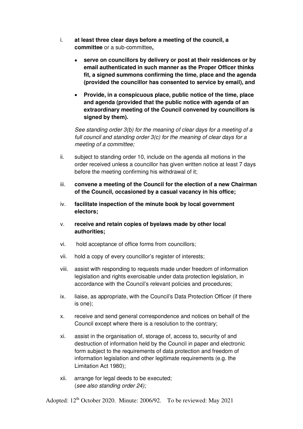- i. **at least three clear days before a meeting of the council, a committee** or a sub-committee**,**
	- **serve on councillors by delivery or post at their residences or by email authenticated in such manner as the Proper Officer thinks fit, a signed summons confirming the time, place and the agenda (provided the councillor has consented to service by email), and**
	- **Provide, in a conspicuous place, public notice of the time, place and agenda (provided that the public notice with agenda of an extraordinary meeting of the Council convened by councillors is signed by them).**

See standing order 3(b) for the meaning of clear days for a meeting of a full council and standing order 3(c) for the meaning of clear days for a meeting of a committee;

- ii. subject to standing order 10, include on the agenda all motions in the order received unless a councillor has given written notice at least 7 days before the meeting confirming his withdrawal of it;
- iii. **convene a meeting of the Council for the election of a new Chairman of the Council, occasioned by a casual vacancy in his office;**
- iv. **facilitate inspection of the minute book by local government electors;**
- v. **receive and retain copies of byelaws made by other local authorities;**
- vi. hold acceptance of office forms from councillors;
- vii. hold a copy of every councillor's register of interests;
- viii. assist with responding to requests made under freedom of information legislation and rights exercisable under data protection legislation, in accordance with the Council's relevant policies and procedures;
- ix. liaise, as appropriate, with the Council's Data Protection Officer (if there is one);
- x. receive and send general correspondence and notices on behalf of the Council except where there is a resolution to the contrary;
- xi. assist in the organisation of, storage of, access to, security of and destruction of information held by the Council in paper and electronic form subject to the requirements of data protection and freedom of information legislation and other legitimate requirements (e.g. the Limitation Act 1980);
- xii. arrange for legal deeds to be executed; (see also standing order 24);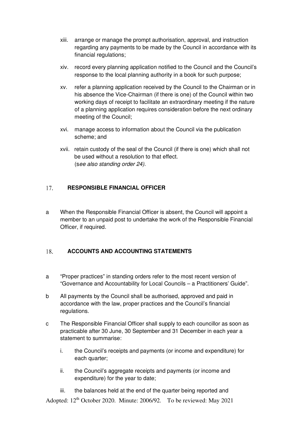- xiii. arrange or manage the prompt authorisation, approval, and instruction regarding any payments to be made by the Council in accordance with its financial regulations;
- xiv. record every planning application notified to the Council and the Council's response to the local planning authority in a book for such purpose;
- xv. refer a planning application received by the Council to the Chairman or in his absence the Vice-Chairman (if there is one) of the Council within two working days of receipt to facilitate an extraordinary meeting if the nature of a planning application requires consideration before the next ordinary meeting of the Council;
- xvi. manage access to information about the Council via the publication scheme; and
- xvii. retain custody of the seal of the Council (if there is one) which shall not be used without a resolution to that effect. (see also standing order 24).

#### 17. **RESPONSIBLE FINANCIAL OFFICER**

a When the Responsible Financial Officer is absent, the Council will appoint a member to an unpaid post to undertake the work of the Responsible Financial Officer, if required.

#### 18. **ACCOUNTS AND ACCOUNTING STATEMENTS**

- a "Proper practices" in standing orders refer to the most recent version of "Governance and Accountability for Local Councils – a Practitioners' Guide".
- b All payments by the Council shall be authorised, approved and paid in accordance with the law, proper practices and the Council's financial regulations.
- c The Responsible Financial Officer shall supply to each councillor as soon as practicable after 30 June, 30 September and 31 December in each year a statement to summarise:
	- i. the Council's receipts and payments (or income and expenditure) for each quarter;
	- ii. the Council's aggregate receipts and payments (or income and expenditure) for the year to date;
- Adopted: 12<sup>th</sup> October 2020. Minute: 2006/92. To be reviewed: May 2021 iii. the balances held at the end of the quarter being reported and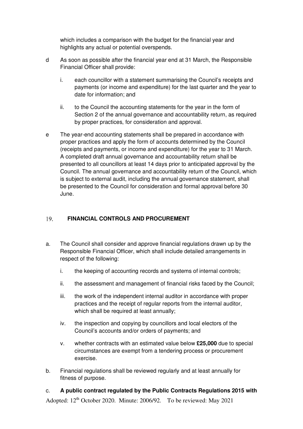which includes a comparison with the budget for the financial year and highlights any actual or potential overspends.

- d As soon as possible after the financial year end at 31 March, the Responsible Financial Officer shall provide:
	- i. each councillor with a statement summarising the Council's receipts and payments (or income and expenditure) for the last quarter and the year to date for information; and
	- ii. to the Council the accounting statements for the year in the form of Section 2 of the annual governance and accountability return, as required by proper practices, for consideration and approval.
- e The year-end accounting statements shall be prepared in accordance with proper practices and apply the form of accounts determined by the Council (receipts and payments, or income and expenditure) for the year to 31 March. A completed draft annual governance and accountability return shall be presented to all councillors at least 14 days prior to anticipated approval by the Council. The annual governance and accountability return of the Council, which is subject to external audit, including the annual governance statement, shall be presented to the Council for consideration and formal approval before 30 June.

#### 19. **FINANCIAL CONTROLS AND PROCUREMENT**

- a. The Council shall consider and approve financial regulations drawn up by the Responsible Financial Officer, which shall include detailed arrangements in respect of the following:
	- i. the keeping of accounting records and systems of internal controls;
	- ii. the assessment and management of financial risks faced by the Council;
	- iii. the work of the independent internal auditor in accordance with proper practices and the receipt of regular reports from the internal auditor, which shall be required at least annually;
	- iv. the inspection and copying by councillors and local electors of the Council's accounts and/or orders of payments; and
	- v. whether contracts with an estimated value below **£25,000** due to special circumstances are exempt from a tendering process or procurement exercise.
- b. Financial regulations shall be reviewed regularly and at least annually for fitness of purpose.

Adopted: 12<sup>th</sup> October 2020. Minute: 2006/92. To be reviewed: May 2021 c. **A public contract regulated by the Public Contracts Regulations 2015 with**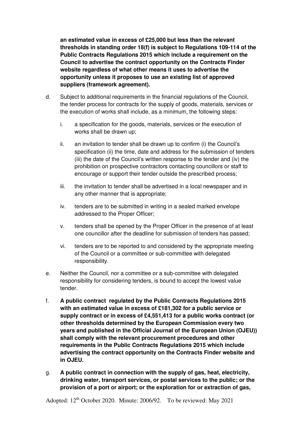**an estimated value in excess of £25,000 but less than the relevant thresholds in standing order 18(f) is subject to Regulations 109-114 of the Public Contracts Regulations 2015 which include a requirement on the Council to advertise the contract opportunity on the Contracts Finder website regardless of what other means it uses to advertise the opportunity unless it proposes to use an existing list of approved suppliers (framework agreement).** 

- d. Subject to additional requirements in the financial regulations of the Council, the tender process for contracts for the supply of goods, materials, services or the execution of works shall include, as a minimum, the following steps:
	- i. a specification for the goods, materials, services or the execution of works shall be drawn up;
	- ii. an invitation to tender shall be drawn up to confirm (i) the Council's specification (ii) the time, date and address for the submission of tenders (iii) the date of the Council's written response to the tender and (iv) the prohibition on prospective contractors contacting councillors or staff to encourage or support their tender outside the prescribed process;
	- iii. the invitation to tender shall be advertised in a local newspaper and in any other manner that is appropriate;
	- iv. tenders are to be submitted in writing in a sealed marked envelope addressed to the Proper Officer;
	- v. tenders shall be opened by the Proper Officer in the presence of at least one councillor after the deadline for submission of tenders has passed;
	- vi. tenders are to be reported to and considered by the appropriate meeting of the Council or a committee or sub-committee with delegated responsibility.
- e. Neither the Council, nor a committee or a sub-committee with delegated responsibility for considering tenders, is bound to accept the lowest value tender.
- f. **A public contract regulated by the Public Contracts Regulations 2015 with an estimated value in excess of £181,302 for a public service or supply contract or in excess of £4,551,413 for a public works contract (or other thresholds determined by the European Commission every two years and published in the Official Journal of the European Union (OJEU)) shall comply with the relevant procurement procedures and other requirements in the Public Contracts Regulations 2015 which include advertising the contract opportunity on the Contracts Finder website and in OJEU.**
- g. **A public contract in connection with the supply of gas, heat, electricity, drinking water, transport services, or postal services to the public; or the provision of a port or airport; or the exploration for or extraction of gas,**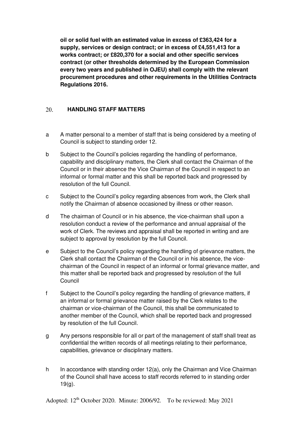**oil or solid fuel with an estimated value in excess of £363,424 for a supply, services or design contract; or in excess of £4,551,413 for a works contract; or £820,370 for a social and other specific services contract (or other thresholds determined by the European Commission every two years and published in OJEU) shall comply with the relevant procurement procedures and other requirements in the Utilities Contracts Regulations 2016.** 

#### $20<sub>1</sub>$ **HANDLING STAFF MATTERS**

- a A matter personal to a member of staff that is being considered by a meeting of Council is subject to standing order 12.
- b Subject to the Council's policies regarding the handling of performance, capability and disciplinary matters, the Clerk shall contact the Chairman of the Council or in their absence the Vice Chairman of the Council in respect to an informal or formal matter and this shall be reported back and progressed by resolution of the full Council.
- c Subject to the Council's policy regarding absences from work, the Clerk shall notify the Chairman of absence occasioned by illness or other reason.
- d The chairman of Council or in his absence, the vice-chairman shall upon a resolution conduct a review of the performance and annual appraisal of the work of Clerk. The reviews and appraisal shall be reported in writing and are subject to approval by resolution by the full Council.
- e Subject to the Council's policy regarding the handling of grievance matters, the Clerk shall contact the Chairman of the Council or in his absence, the vicechairman of the Council in respect of an informal or formal grievance matter, and this matter shall be reported back and progressed by resolution of the full **Council**
- f Subject to the Council's policy regarding the handling of grievance matters, if an informal or formal grievance matter raised by the Clerk relates to the chairman or vice-chairman of the Council, this shall be communicated to another member of the Council, which shall be reported back and progressed by resolution of the full Council.
- g Any persons responsible for all or part of the management of staff shall treat as confidential the written records of all meetings relating to their performance, capabilities, grievance or disciplinary matters.
- h In accordance with standing order 12(a), only the Chairman and Vice Chairman of the Council shall have access to staff records referred to in standing order  $19(q)$ .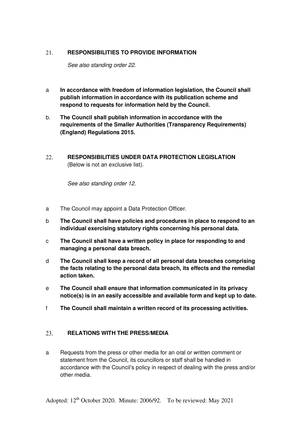#### **RESPONSIBILITIES TO PROVIDE INFORMATION**  21.

See also standing order 22.

- a **In accordance with freedom of information legislation, the Council shall publish information in accordance with its publication scheme and respond to requests for information held by the Council.**
- b. **The Council shall publish information in accordance with the requirements of the Smaller Authorities (Transparency Requirements) (England) Regulations 2015.**
- **RESPONSIBILITIES UNDER DATA PROTECTION LEGISLATION**  22. (Below is not an exclusive list).

See also standing order 12.

- a The Council may appoint a Data Protection Officer.
- b **The Council shall have policies and procedures in place to respond to an individual exercising statutory rights concerning his personal data.**
- c **The Council shall have a written policy in place for responding to and managing a personal data breach.**
- d **The Council shall keep a record of all personal data breaches comprising the facts relating to the personal data breach, its effects and the remedial action taken.**
- e **The Council shall ensure that information communicated in its privacy notice(s) is in an easily accessible and available form and kept up to date.**
- f **The Council shall maintain a written record of its processing activities.**

#### 23. **RELATIONS WITH THE PRESS/MEDIA**

a Requests from the press or other media for an oral or written comment or statement from the Council, its councillors or staff shall be handled in accordance with the Council's policy in respect of dealing with the press and/or other media.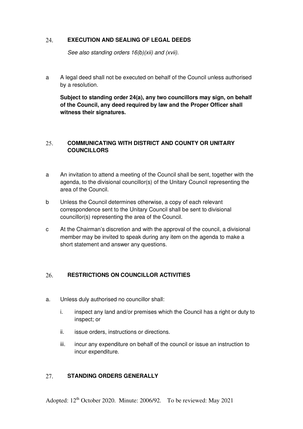#### 24. **EXECUTION AND SEALING OF LEGAL DEEDS**

See also standing orders  $16(b)(xii)$  and (xvii).

a A legal deed shall not be executed on behalf of the Council unless authorised by a resolution.

**Subject to standing order 24(a), any two councillors may sign, on behalf of the Council, any deed required by law and the Proper Officer shall witness their signatures.**

#### $25.$ **COMMUNICATING WITH DISTRICT AND COUNTY OR UNITARY COUNCILLORS**

- a An invitation to attend a meeting of the Council shall be sent, together with the agenda, to the divisional councillor(s) of the Unitary Council representing the area of the Council.
- b Unless the Council determines otherwise, a copy of each relevant correspondence sent to the Unitary Council shall be sent to divisional councillor(s) representing the area of the Council.
- c At the Chairman's discretion and with the approval of the council, a divisional member may be invited to speak during any item on the agenda to make a short statement and answer any questions.

#### 26. **RESTRICTIONS ON COUNCILLOR ACTIVITIES**

- a. Unless duly authorised no councillor shall:
	- i. inspect any land and/or premises which the Council has a right or duty to inspect; or
	- ii. issue orders, instructions or directions.
	- iii. incur any expenditure on behalf of the council or issue an instruction to incur expenditure.

#### 27. **STANDING ORDERS GENERALLY**